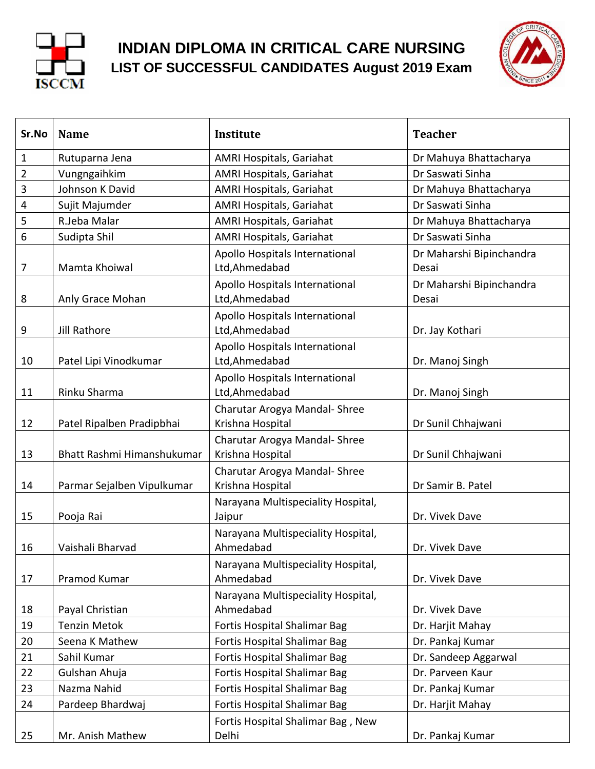

## **INDIAN DIPLOMA IN CRITICAL CARE NURSING LIST OF SUCCESSFUL CANDIDATES August 2019 Exam**



| Sr.No          | <b>Name</b>                | Institute                                         | <b>Teacher</b>                    |
|----------------|----------------------------|---------------------------------------------------|-----------------------------------|
| $\mathbf{1}$   | Rutuparna Jena             | AMRI Hospitals, Gariahat                          | Dr Mahuya Bhattacharya            |
| $\overline{2}$ | Vungngaihkim               | AMRI Hospitals, Gariahat                          | Dr Saswati Sinha                  |
| 3              | Johnson K David            | AMRI Hospitals, Gariahat                          | Dr Mahuya Bhattacharya            |
| 4              | Sujit Majumder             | AMRI Hospitals, Gariahat                          | Dr Saswati Sinha                  |
| 5              | R.Jeba Malar               | AMRI Hospitals, Gariahat                          | Dr Mahuya Bhattacharya            |
| 6              | Sudipta Shil               | AMRI Hospitals, Gariahat                          | Dr Saswati Sinha                  |
| 7              | Mamta Khoiwal              | Apollo Hospitals International<br>Ltd, Ahmedabad  | Dr Maharshi Bipinchandra<br>Desai |
| 8              | Anly Grace Mohan           | Apollo Hospitals International<br>Ltd, Ahmedabad  | Dr Maharshi Bipinchandra<br>Desai |
| 9              | Jill Rathore               | Apollo Hospitals International<br>Ltd, Ahmedabad  | Dr. Jay Kothari                   |
| 10             | Patel Lipi Vinodkumar      | Apollo Hospitals International<br>Ltd, Ahmedabad  | Dr. Manoj Singh                   |
| 11             | Rinku Sharma               | Apollo Hospitals International<br>Ltd, Ahmedabad  | Dr. Manoj Singh                   |
| 12             | Patel Ripalben Pradipbhai  | Charutar Arogya Mandal- Shree<br>Krishna Hospital | Dr Sunil Chhajwani                |
| 13             | Bhatt Rashmi Himanshukumar | Charutar Arogya Mandal- Shree<br>Krishna Hospital | Dr Sunil Chhajwani                |
| 14             | Parmar Sejalben Vipulkumar | Charutar Arogya Mandal- Shree<br>Krishna Hospital | Dr Samir B. Patel                 |
| 15             | Pooja Rai                  | Narayana Multispeciality Hospital,<br>Jaipur      | Dr. Vivek Dave                    |
| 16             | Vaishali Bharvad           | Narayana Multispeciality Hospital,<br>Ahmedabad   | Dr. Vivek Dave                    |
| 17             | Pramod Kumar               | Narayana Multispeciality Hospital,<br>Ahmedabad   | Dr. Vivek Dave                    |
| 18             | Payal Christian            | Narayana Multispeciality Hospital,<br>Ahmedabad   | Dr. Vivek Dave                    |
| 19             | <b>Tenzin Metok</b>        | <b>Fortis Hospital Shalimar Bag</b>               | Dr. Harjit Mahay                  |
| 20             | Seena K Mathew             | <b>Fortis Hospital Shalimar Bag</b>               | Dr. Pankaj Kumar                  |
| 21             | Sahil Kumar                | Fortis Hospital Shalimar Bag                      | Dr. Sandeep Aggarwal              |
| 22             | Gulshan Ahuja              | Fortis Hospital Shalimar Bag                      | Dr. Parveen Kaur                  |
| 23             | Nazma Nahid                | <b>Fortis Hospital Shalimar Bag</b>               | Dr. Pankaj Kumar                  |
| 24             | Pardeep Bhardwaj           | Fortis Hospital Shalimar Bag                      | Dr. Harjit Mahay                  |
| 25             | Mr. Anish Mathew           | Fortis Hospital Shalimar Bag, New<br>Delhi        | Dr. Pankaj Kumar                  |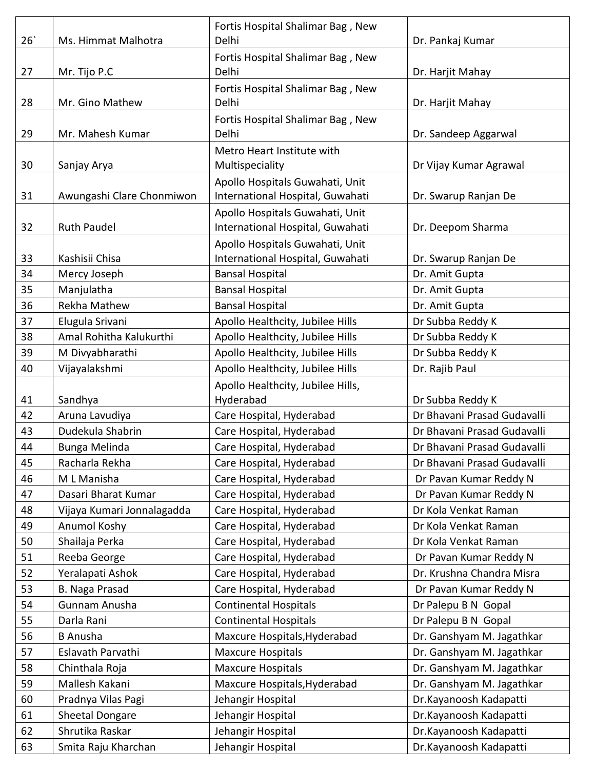| 26 | Ms. Himmat Malhotra        | Fortis Hospital Shalimar Bag, New<br>Delhi                          | Dr. Pankaj Kumar            |
|----|----------------------------|---------------------------------------------------------------------|-----------------------------|
| 27 | Mr. Tijo P.C               | Fortis Hospital Shalimar Bag, New<br>Delhi                          | Dr. Harjit Mahay            |
|    |                            | Fortis Hospital Shalimar Bag, New                                   |                             |
| 28 | Mr. Gino Mathew            | Delhi                                                               | Dr. Harjit Mahay            |
| 29 | Mr. Mahesh Kumar           | Fortis Hospital Shalimar Bag, New<br>Delhi                          | Dr. Sandeep Aggarwal        |
| 30 | Sanjay Arya                | Metro Heart Institute with<br>Multispeciality                       | Dr Vijay Kumar Agrawal      |
| 31 | Awungashi Clare Chonmiwon  | Apollo Hospitals Guwahati, Unit<br>International Hospital, Guwahati | Dr. Swarup Ranjan De        |
| 32 | <b>Ruth Paudel</b>         | Apollo Hospitals Guwahati, Unit<br>International Hospital, Guwahati | Dr. Deepom Sharma           |
| 33 | Kashisii Chisa             | Apollo Hospitals Guwahati, Unit<br>International Hospital, Guwahati | Dr. Swarup Ranjan De        |
| 34 | Mercy Joseph               | <b>Bansal Hospital</b>                                              | Dr. Amit Gupta              |
| 35 | Manjulatha                 | <b>Bansal Hospital</b>                                              | Dr. Amit Gupta              |
| 36 | Rekha Mathew               | <b>Bansal Hospital</b>                                              | Dr. Amit Gupta              |
| 37 | Elugula Srivani            | Apollo Healthcity, Jubilee Hills                                    | Dr Subba Reddy K            |
| 38 | Amal Rohitha Kalukurthi    | Apollo Healthcity, Jubilee Hills                                    | Dr Subba Reddy K            |
| 39 | M Divyabharathi            | Apollo Healthcity, Jubilee Hills                                    | Dr Subba Reddy K            |
| 40 | Vijayalakshmi              | Apollo Healthcity, Jubilee Hills                                    | Dr. Rajib Paul              |
| 41 | Sandhya                    | Apollo Healthcity, Jubilee Hills,<br>Hyderabad                      | Dr Subba Reddy K            |
| 42 | Aruna Lavudiya             | Care Hospital, Hyderabad                                            | Dr Bhavani Prasad Gudavalli |
| 43 | Dudekula Shabrin           | Care Hospital, Hyderabad                                            | Dr Bhavani Prasad Gudavalli |
| 44 | Bunga Melinda              | Care Hospital, Hyderabad                                            | Dr Bhavani Prasad Gudavalli |
| 45 | Racharla Rekha             | Care Hospital, Hyderabad                                            | Dr Bhavani Prasad Gudavalli |
| 46 | M L Manisha                | Care Hospital, Hyderabad                                            | Dr Pavan Kumar Reddy N      |
| 47 | Dasari Bharat Kumar        | Care Hospital, Hyderabad                                            | Dr Pavan Kumar Reddy N      |
| 48 | Vijaya Kumari Jonnalagadda | Care Hospital, Hyderabad                                            | Dr Kola Venkat Raman        |
| 49 | Anumol Koshy               | Care Hospital, Hyderabad                                            | Dr Kola Venkat Raman        |
| 50 | Shailaja Perka             | Care Hospital, Hyderabad                                            | Dr Kola Venkat Raman        |
| 51 | Reeba George               | Care Hospital, Hyderabad                                            | Dr Pavan Kumar Reddy N      |
| 52 | Yeralapati Ashok           | Care Hospital, Hyderabad                                            | Dr. Krushna Chandra Misra   |
| 53 | B. Naga Prasad             | Care Hospital, Hyderabad                                            | Dr Pavan Kumar Reddy N      |
| 54 | Gunnam Anusha              | <b>Continental Hospitals</b>                                        | Dr Palepu B N Gopal         |
| 55 | Darla Rani                 | <b>Continental Hospitals</b>                                        | Dr Palepu B N Gopal         |
| 56 | <b>B</b> Anusha            | Maxcure Hospitals, Hyderabad                                        | Dr. Ganshyam M. Jagathkar   |
| 57 | Eslavath Parvathi          | <b>Maxcure Hospitals</b>                                            | Dr. Ganshyam M. Jagathkar   |
| 58 | Chinthala Roja             | <b>Maxcure Hospitals</b>                                            | Dr. Ganshyam M. Jagathkar   |
| 59 | Mallesh Kakani             | Maxcure Hospitals, Hyderabad                                        | Dr. Ganshyam M. Jagathkar   |
| 60 | Pradnya Vilas Pagi         | Jehangir Hospital                                                   | Dr.Kayanoosh Kadapatti      |
| 61 | <b>Sheetal Dongare</b>     | Jehangir Hospital                                                   | Dr.Kayanoosh Kadapatti      |
| 62 | Shrutika Raskar            | Jehangir Hospital                                                   | Dr.Kayanoosh Kadapatti      |
| 63 | Smita Raju Kharchan        | Jehangir Hospital                                                   | Dr.Kayanoosh Kadapatti      |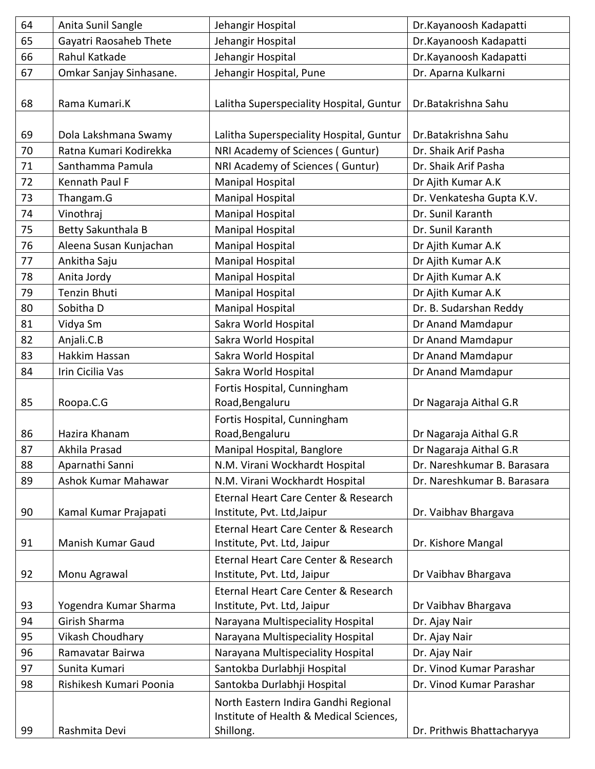| 64 | Anita Sunil Sangle       | Jehangir Hospital                                                                            | Dr.Kayanoosh Kadapatti      |
|----|--------------------------|----------------------------------------------------------------------------------------------|-----------------------------|
| 65 | Gayatri Raosaheb Thete   | Jehangir Hospital                                                                            | Dr.Kayanoosh Kadapatti      |
| 66 | Rahul Katkade            | Jehangir Hospital                                                                            | Dr.Kayanoosh Kadapatti      |
| 67 | Omkar Sanjay Sinhasane.  | Jehangir Hospital, Pune                                                                      | Dr. Aparna Kulkarni         |
| 68 | Rama Kumari.K            | Lalitha Superspeciality Hospital, Guntur                                                     | Dr.Batakrishna Sahu         |
| 69 | Dola Lakshmana Swamy     | Lalitha Superspeciality Hospital, Guntur                                                     | Dr.Batakrishna Sahu         |
| 70 | Ratna Kumari Kodirekka   | NRI Academy of Sciences (Guntur)                                                             | Dr. Shaik Arif Pasha        |
| 71 | Santhamma Pamula         | NRI Academy of Sciences (Guntur)                                                             | Dr. Shaik Arif Pasha        |
| 72 | Kennath Paul F           | <b>Manipal Hospital</b>                                                                      | Dr Ajith Kumar A.K          |
| 73 | Thangam.G                | <b>Manipal Hospital</b>                                                                      | Dr. Venkatesha Gupta K.V.   |
| 74 | Vinothraj                | <b>Manipal Hospital</b>                                                                      | Dr. Sunil Karanth           |
| 75 | Betty Sakunthala B       | <b>Manipal Hospital</b>                                                                      | Dr. Sunil Karanth           |
| 76 | Aleena Susan Kunjachan   | <b>Manipal Hospital</b>                                                                      | Dr Ajith Kumar A.K          |
| 77 | Ankitha Saju             | <b>Manipal Hospital</b>                                                                      | Dr Ajith Kumar A.K          |
| 78 | Anita Jordy              | <b>Manipal Hospital</b>                                                                      | Dr Ajith Kumar A.K          |
| 79 | Tenzin Bhuti             | <b>Manipal Hospital</b>                                                                      | Dr Ajith Kumar A.K          |
| 80 | Sobitha D                | <b>Manipal Hospital</b>                                                                      | Dr. B. Sudarshan Reddy      |
| 81 | Vidya Sm                 | Sakra World Hospital                                                                         | Dr Anand Mamdapur           |
| 82 | Anjali.C.B               | Sakra World Hospital                                                                         | Dr Anand Mamdapur           |
| 83 | Hakkim Hassan            | Sakra World Hospital                                                                         | Dr Anand Mamdapur           |
| 84 | Irin Cicilia Vas         | Sakra World Hospital                                                                         | Dr Anand Mamdapur           |
| 85 | Roopa.C.G                | Fortis Hospital, Cunningham<br>Road, Bengaluru                                               | Dr Nagaraja Aithal G.R      |
| 86 | Hazira Khanam            | Fortis Hospital, Cunningham<br>Road, Bengaluru                                               | Dr Nagaraja Aithal G.R      |
| 87 | Akhila Prasad            | Manipal Hospital, Banglore                                                                   | Dr Nagaraja Aithal G.R      |
| 88 | Aparnathi Sanni          | N.M. Virani Wockhardt Hospital                                                               | Dr. Nareshkumar B. Barasara |
| 89 | Ashok Kumar Mahawar      | N.M. Virani Wockhardt Hospital                                                               | Dr. Nareshkumar B. Barasara |
| 90 | Kamal Kumar Prajapati    | Eternal Heart Care Center & Research<br>Institute, Pvt. Ltd, Jaipur                          | Dr. Vaibhav Bhargava        |
| 91 | <b>Manish Kumar Gaud</b> | Eternal Heart Care Center & Research<br>Institute, Pvt. Ltd, Jaipur                          | Dr. Kishore Mangal          |
| 92 | Monu Agrawal             | Eternal Heart Care Center & Research<br>Institute, Pvt. Ltd, Jaipur                          | Dr Vaibhav Bhargava         |
| 93 | Yogendra Kumar Sharma    | Eternal Heart Care Center & Research<br>Institute, Pvt. Ltd, Jaipur                          | Dr Vaibhav Bhargava         |
| 94 | Girish Sharma            | Narayana Multispeciality Hospital                                                            | Dr. Ajay Nair               |
| 95 | Vikash Choudhary         | Narayana Multispeciality Hospital                                                            | Dr. Ajay Nair               |
| 96 | Ramavatar Bairwa         | Narayana Multispeciality Hospital                                                            | Dr. Ajay Nair               |
| 97 | Sunita Kumari            | Santokba Durlabhji Hospital                                                                  | Dr. Vinod Kumar Parashar    |
| 98 | Rishikesh Kumari Poonia  | Santokba Durlabhji Hospital                                                                  | Dr. Vinod Kumar Parashar    |
| 99 | Rashmita Devi            | North Eastern Indira Gandhi Regional<br>Institute of Health & Medical Sciences,<br>Shillong. | Dr. Prithwis Bhattacharyya  |
|    |                          |                                                                                              |                             |